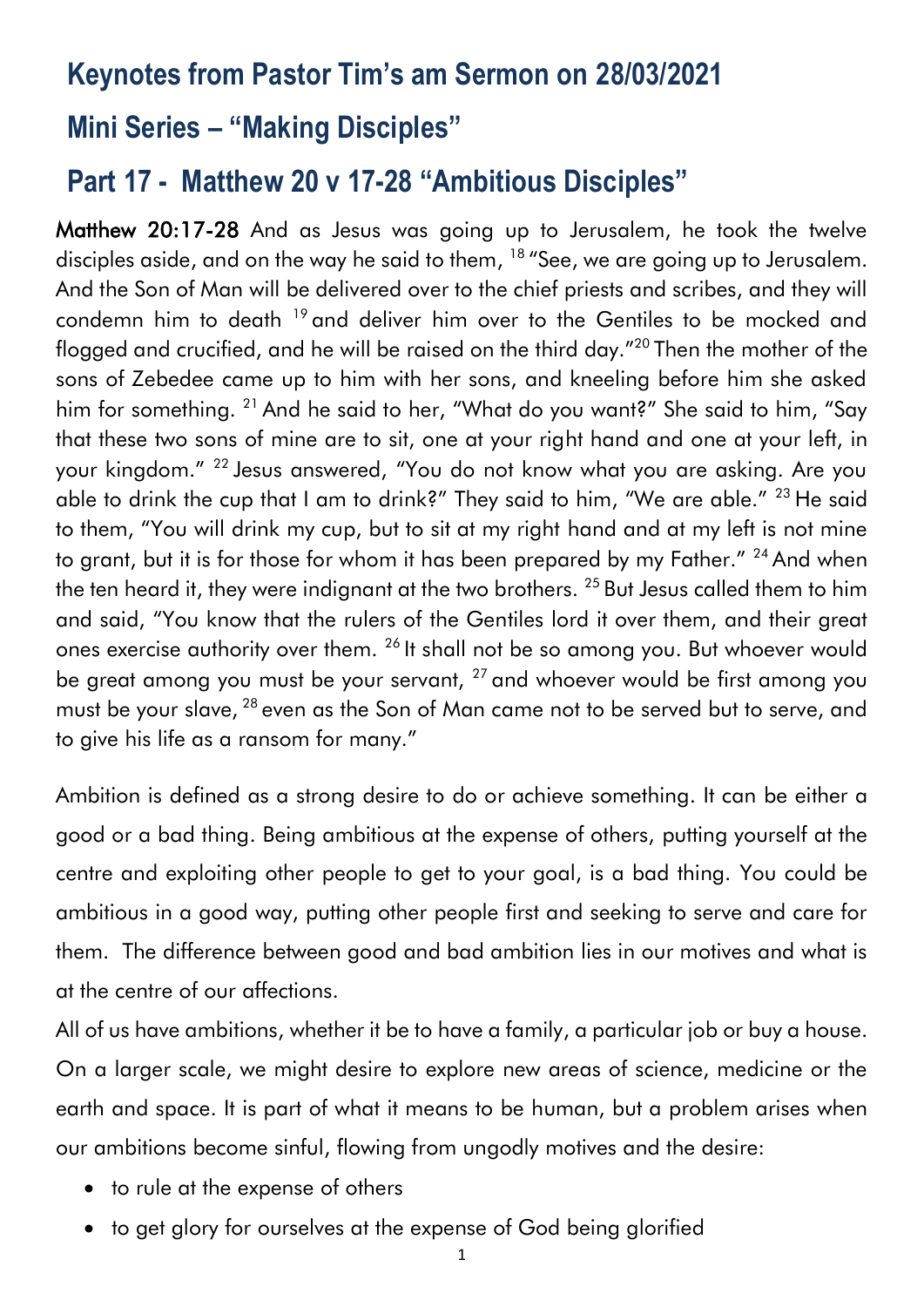# **Keynotes from Pastor Tim's am Sermon on 28/03/2021**

## **Mini Series – "Making Disciples"**

# **Part 17 - Matthew 20 v 17-28 "Ambitious Disciples"**

Matthew 20:17-28 And as Jesus was going up to Jerusalem, he took the twelve disciples aside, and on the way he said to them, <sup>18</sup> "See, we are going up to Jerusalem. And the Son of Man will be delivered over to the chief priests and scribes, and they will condemn him to death <sup>19</sup> and deliver him over to the Gentiles to be mocked and flogged and crucified, and he will be raised on the third day."<sup>20</sup> Then the mother of the sons of Zebedee came up to him with her sons, and kneeling before him she asked him for something. <sup>21</sup> And he said to her, "What do you want?" She said to him, "Say that these two sons of mine are to sit, one at your right hand and one at your left, in your kingdom." <sup>22</sup> Jesus answered, "You do not know what you are asking. Are you able to drink the cup that I am to drink?" They said to him, "We are able." <sup>23</sup> He said to them, "You will drink my cup, but to sit at my right hand and at my left is not mine to grant, but it is for those for whom it has been prepared by my Father." <sup>24</sup> And when the ten heard it, they were indignant at the two brothers. <sup>25</sup> But Jesus called them to him and said, "You know that the rulers of the Gentiles lord it over them, and their great ones exercise authority over them. <sup>26</sup> It shall not be so among you. But whoever would be great among you must be your servant,  $27$  and whoever would be first among you must be your slave, <sup>28</sup> even as the Son of Man came not to be served but to serve, and to give his life as a ransom for many."

Ambition is defined as a strong desire to do or achieve something. It can be either a good or a bad thing. Being ambitious at the expense of others, putting yourself at the centre and exploiting other people to get to your goal, is a bad thing. You could be ambitious in a good way, putting other people first and seeking to serve and care for them. The difference between good and bad ambition lies in our motives and what is at the centre of our affections.

All of us have ambitions, whether it be to have a family, a particular job or buy a house. On a larger scale, we might desire to explore new areas of science, medicine or the earth and space. It is part of what it means to be human, but a problem arises when our ambitions become sinful, flowing from ungodly motives and the desire:

- to rule at the expense of others
- to get glory for ourselves at the expense of God being glorified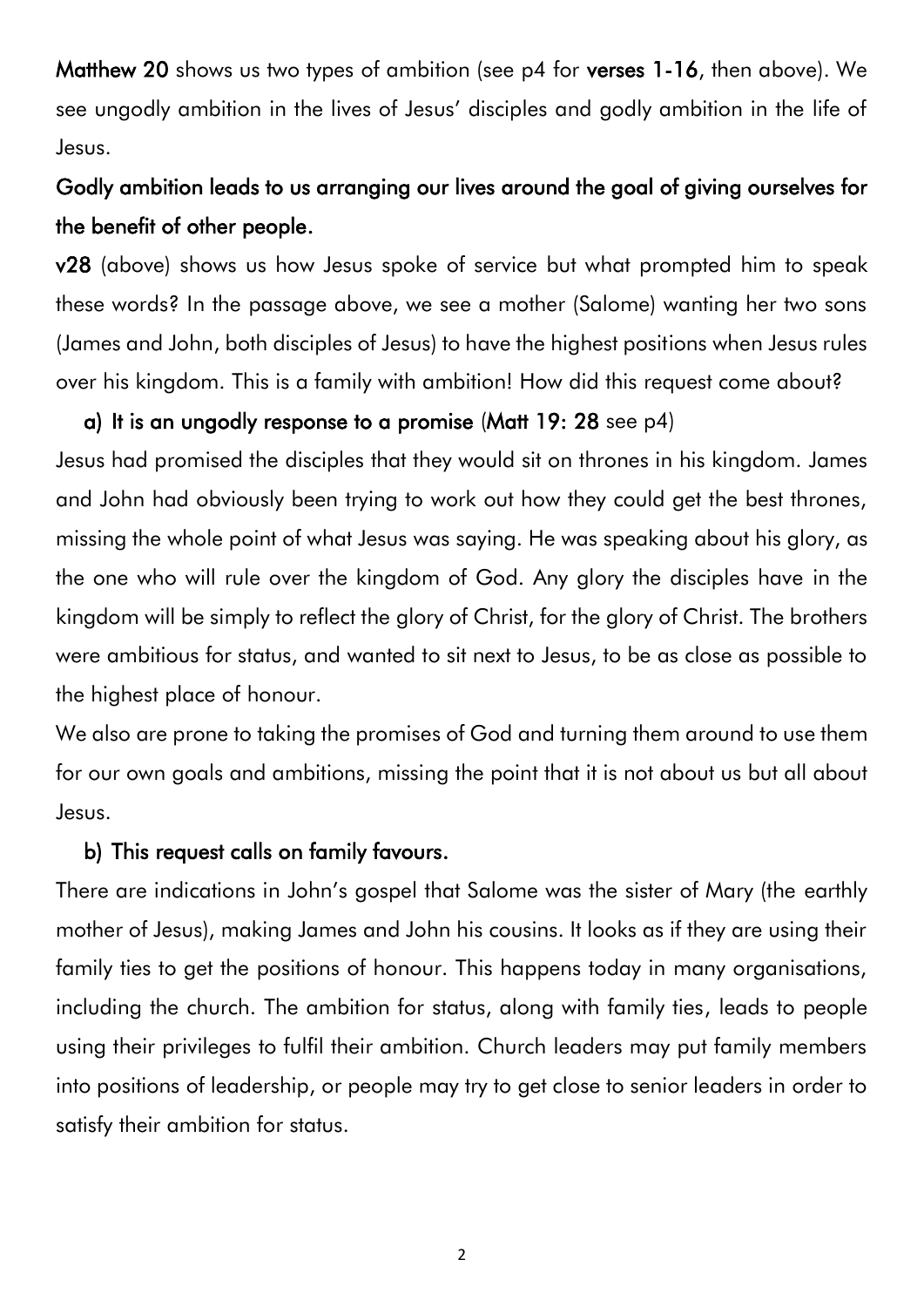Matthew 20 shows us two types of ambition (see p4 for verses 1-16, then above). We see ungodly ambition in the lives of Jesus' disciples and godly ambition in the life of Jesus.

## Godly ambition leads to us arranging our lives around the goal of giving ourselves for the benefit of other people.

v28 (above) shows us how Jesus spoke of service but what prompted him to speak these words? In the passage above, we see a mother (Salome) wanting her two sons (James and John, both disciples of Jesus) to have the highest positions when Jesus rules over his kingdom. This is a family with ambition! How did this request come about?

#### a) It is an ungodly response to a promise (Matt 19: 28 see p4)

Jesus had promised the disciples that they would sit on thrones in his kingdom. James and John had obviously been trying to work out how they could get the best thrones, missing the whole point of what Jesus was saying. He was speaking about his glory, as the one who will rule over the kingdom of God. Any glory the disciples have in the kingdom will be simply to reflect the glory of Christ, for the glory of Christ. The brothers were ambitious for status, and wanted to sit next to Jesus, to be as close as possible to the highest place of honour.

We also are prone to taking the promises of God and turning them around to use them for our own goals and ambitions, missing the point that it is not about us but all about Jesus.

#### b) This request calls on family favours.

There are indications in John's gospel that Salome was the sister of Mary (the earthly mother of Jesus), making James and John his cousins. It looks as if they are using their family ties to get the positions of honour. This happens today in many organisations, including the church. The ambition for status, along with family ties, leads to people using their privileges to fulfil their ambition. Church leaders may put family members into positions of leadership, or people may try to get close to senior leaders in order to satisfy their ambition for status.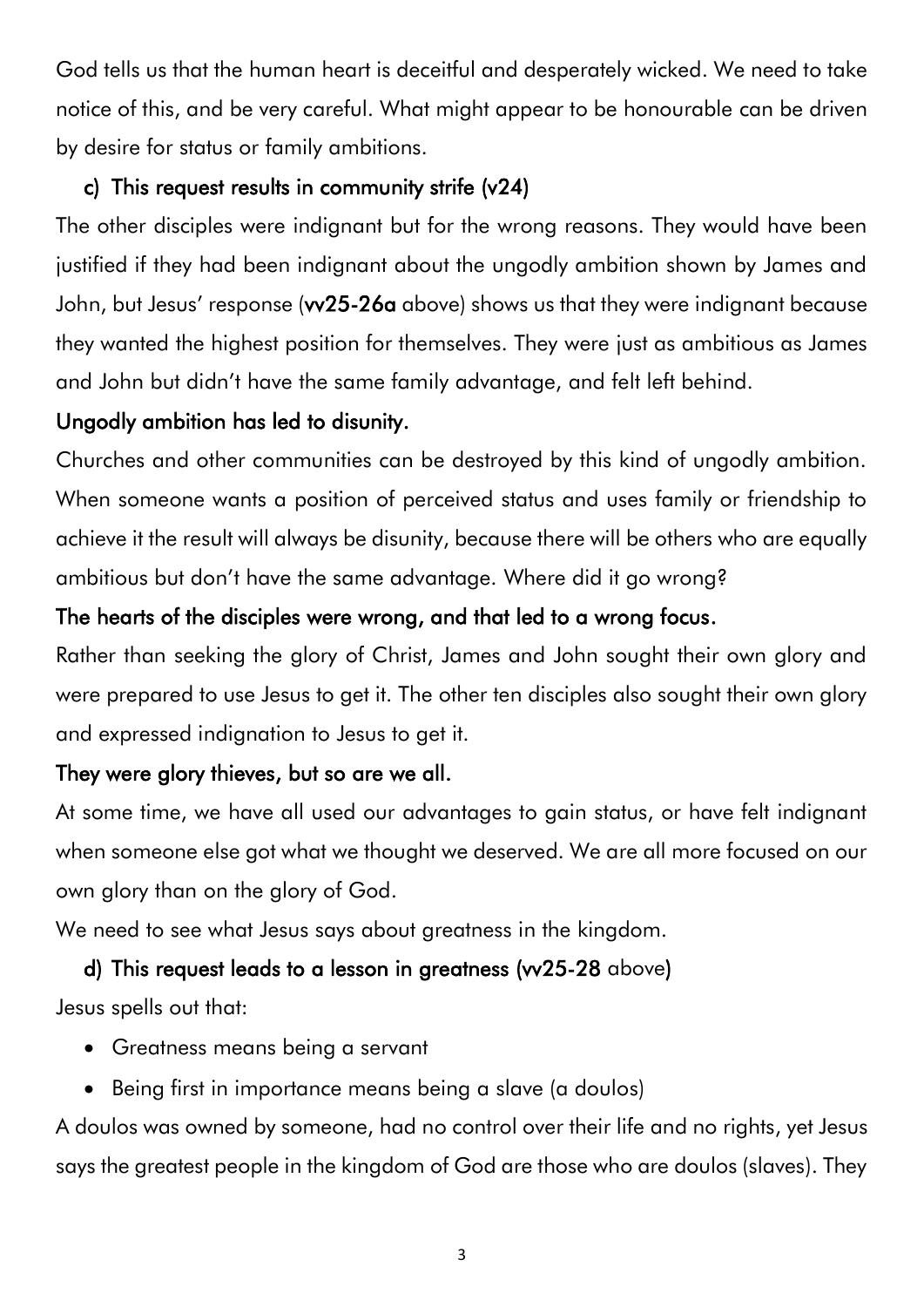God tells us that the human heart is deceitful and desperately wicked. We need to take notice of this, and be very careful. What might appear to be honourable can be driven by desire for status or family ambitions.

## c) This request results in community strife (v24)

The other disciples were indignant but for the wrong reasons. They would have been justified if they had been indignant about the ungodly ambition shown by James and John, but Jesus' response (w25-26a above) shows us that they were indignant because they wanted the highest position for themselves. They were just as ambitious as James and John but didn't have the same family advantage, and felt left behind.

### Ungodly ambition has led to disunity.

Churches and other communities can be destroyed by this kind of ungodly ambition. When someone wants a position of perceived status and uses family or friendship to achieve it the result will always be disunity, because there will be others who are equally ambitious but don't have the same advantage. Where did it go wrong?

### The hearts of the disciples were wrong, and that led to a wrong focus.

Rather than seeking the glory of Christ, James and John sought their own glory and were prepared to use Jesus to get it. The other ten disciples also sought their own glory and expressed indignation to Jesus to get it.

### They were glory thieves, but so are we all.

At some time, we have all used our advantages to gain status, or have felt indignant when someone else got what we thought we deserved. We are all more focused on our own glory than on the glory of God.

We need to see what Jesus says about greatness in the kingdom.

### d) This request leads to a lesson in greatness (vv25-28 above)

Jesus spells out that:

- Greatness means being a servant
- Being first in importance means being a slave (a doulos)

A doulos was owned by someone, had no control over their life and no rights, yet Jesus says the greatest people in the kingdom of God are those who are doulos (slaves). They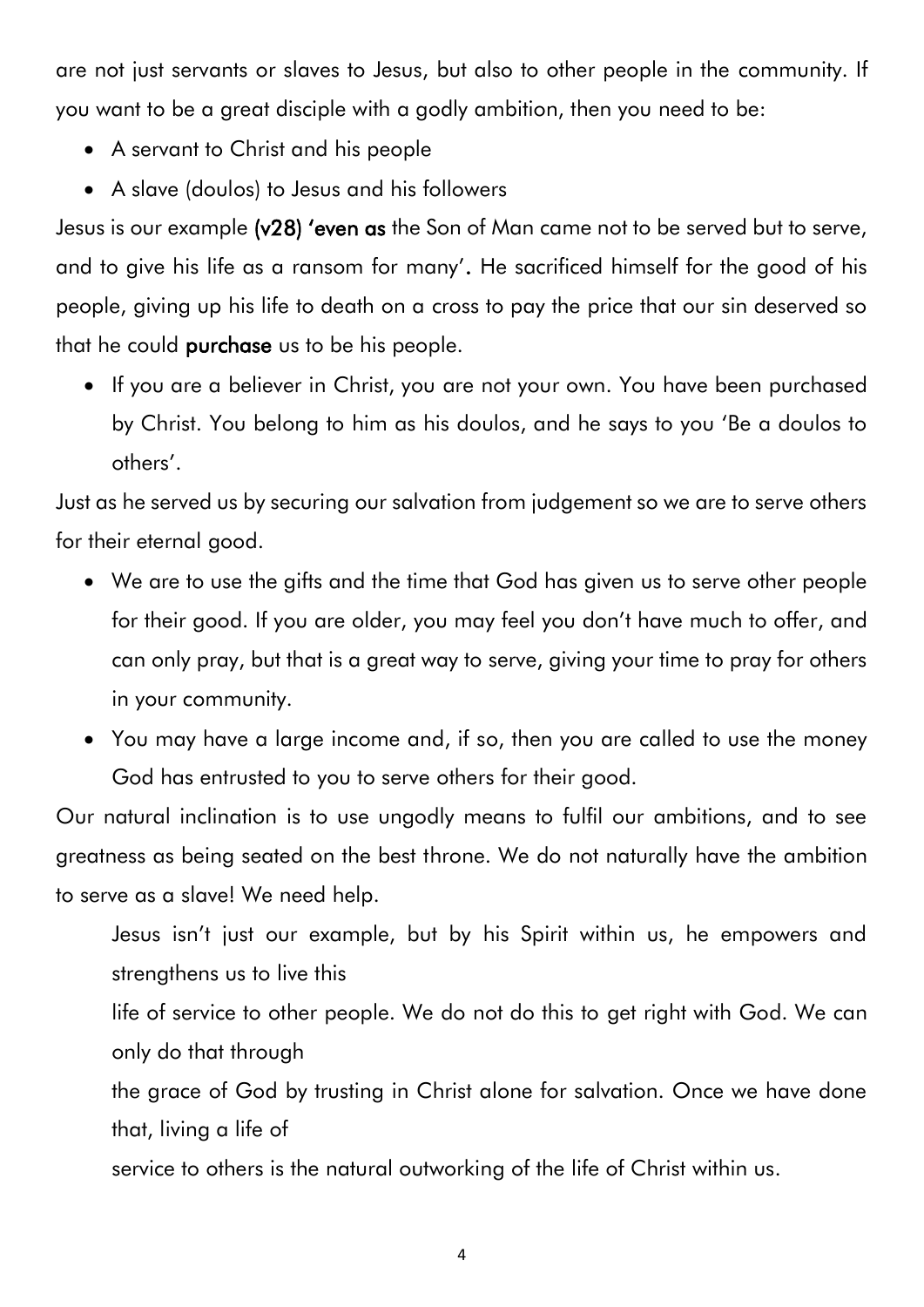are not just servants or slaves to Jesus, but also to other people in the community. If you want to be a great disciple with a godly ambition, then you need to be:

- A servant to Christ and his people
- A slave (doulos) to Jesus and his followers

Jesus is our example (v28) 'even as the Son of Man came not to be served but to serve, and to give his life as a ransom for many'. He sacrificed himself for the good of his people, giving up his life to death on a cross to pay the price that our sin deserved so that he could **purchase** us to be his people.

• If you are a believer in Christ, you are not your own. You have been purchased by Christ. You belong to him as his doulos, and he says to you 'Be a doulos to others'.

Just as he served us by securing our salvation from judgement so we are to serve others for their eternal good.

- We are to use the gifts and the time that God has given us to serve other people for their good. If you are older, you may feel you don't have much to offer, and can only pray, but that is a great way to serve, giving your time to pray for others in your community.
- You may have a large income and, if so, then you are called to use the money God has entrusted to you to serve others for their good.

Our natural inclination is to use ungodly means to fulfil our ambitions, and to see greatness as being seated on the best throne. We do not naturally have the ambition to serve as a slave! We need help.

- Jesus isn't just our example, but by his Spirit within us, he empowers and strengthens us to live this life of service to other people. We do not do this to get right with God. We can only do that through
- the grace of God by trusting in Christ alone for salvation. Once we have done that, living a life of
- service to others is the natural outworking of the life of Christ within us.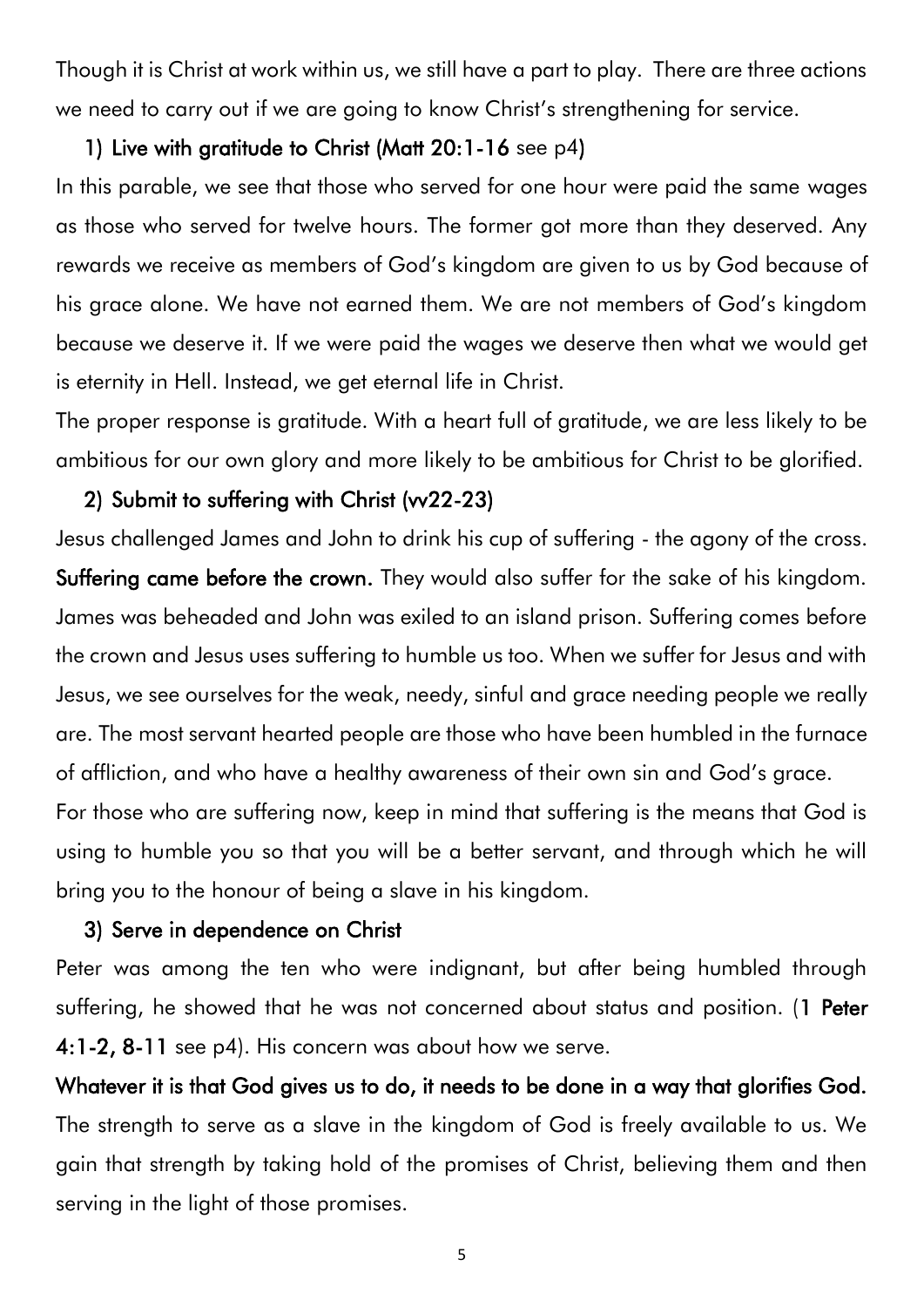Though it is Christ at work within us, we still have a part to play. There are three actions we need to carry out if we are going to know Christ's strengthening for service.

#### 1) Live with gratitude to Christ (Matt 20:1-16 see p4)

In this parable, we see that those who served for one hour were paid the same wages as those who served for twelve hours. The former got more than they deserved. Any rewards we receive as members of God's kingdom are given to us by God because of his grace alone. We have not earned them. We are not members of God's kingdom because we deserve it. If we were paid the wages we deserve then what we would get is eternity in Hell. Instead, we get eternal life in Christ.

The proper response is gratitude. With a heart full of gratitude, we are less likely to be ambitious for our own glory and more likely to be ambitious for Christ to be glorified.

#### 2) Submit to suffering with Christ (vv22-23)

Jesus challenged James and John to drink his cup of suffering - the agony of the cross. Suffering came before the crown. They would also suffer for the sake of his kingdom. James was beheaded and John was exiled to an island prison. Suffering comes before the crown and Jesus uses suffering to humble us too. When we suffer for Jesus and with Jesus, we see ourselves for the weak, needy, sinful and grace needing people we really are. The most servant hearted people are those who have been humbled in the furnace of affliction, and who have a healthy awareness of their own sin and God's grace. For those who are suffering now, keep in mind that suffering is the means that God is using to humble you so that you will be a better servant, and through which he will

bring you to the honour of being a slave in his kingdom.

#### 3) Serve in dependence on Christ

Peter was among the ten who were indignant, but after being humbled through suffering, he showed that he was not concerned about status and position. (1 Peter 4:1-2, 8-11 see p4). His concern was about how we serve.

Whatever it is that God gives us to do, it needs to be done in a way that glorifies God. The strength to serve as a slave in the kingdom of God is freely available to us. We gain that strength by taking hold of the promises of Christ, believing them and then serving in the light of those promises.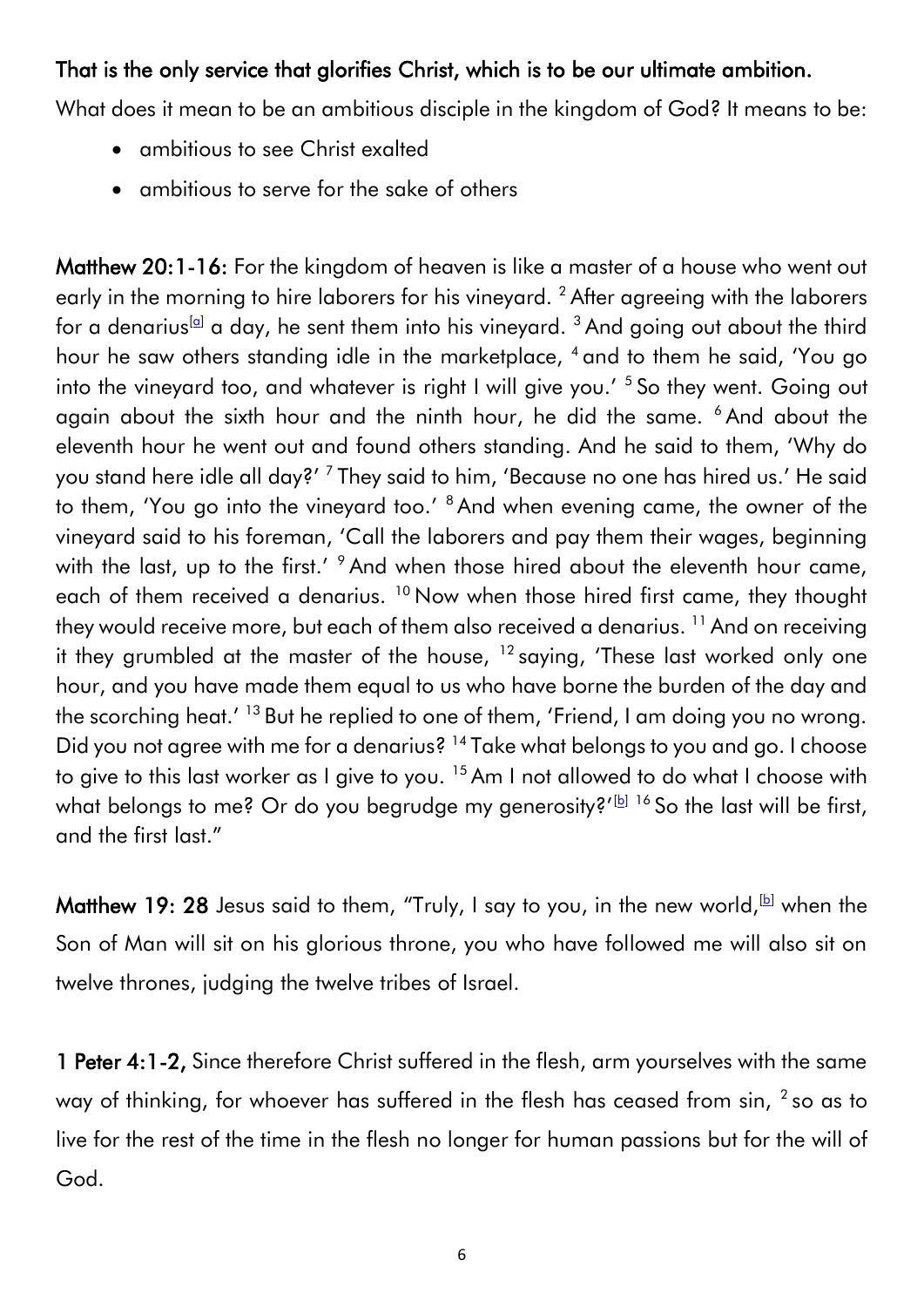#### That is the only service that glorifies Christ, which is to be our ultimate ambition.

What does it mean to be an ambitious disciple in the kingdom of God? It means to be:

- ambitious to see Christ exalted
- ambitious to serve for the sake of others

Matthew 20:1-16: For the kingdom of heaven is like a master of a house who went out early in the morning to hire laborers for his vineyard.<sup>2</sup> After agreeing with the laborers for a denarius<sup>[\[a\]](https://www.biblegateway.com/passage/?search=matthew+20&version=ESV#fen-ESV-23792a)</sup> a day, he sent them into his vineyard.  $3$  And going out about the third hour he saw others standing idle in the marketplace, <sup>4</sup> and to them he said, 'You go into the vineyard too, and whatever is right I will give you.' <sup>5</sup> So they went. Going out again about the sixth hour and the ninth hour, he did the same. <sup>6</sup> And about the eleventh hour he went out and found others standing. And he said to them, 'Why do you stand here idle all day?' <sup>7</sup> They said to him, 'Because no one has hired us.' He said to them, 'You go into the vineyard too.' <sup>8</sup> And when evening came, the owner of the vineyard said to his foreman, 'Call the laborers and pay them their wages, beginning with the last, up to the first.' <sup>9</sup> And when those hired about the eleventh hour came, each of them received a denarius. <sup>10</sup> Now when those hired first came, they thought they would receive more, but each of them also received a denarius.<sup>11</sup> And on receiving it they grumbled at the master of the house,  $12$  saying, 'These last worked only one hour, and you have made them equal to us who have borne the burden of the day and the scorching heat.'  $^{13}$  But he replied to one of them, 'Friend, I am doing you no wrong. Did you not agree with me for a denarius? <sup>14</sup> Take what belongs to you and go. I choose to give to this last worker as I give to you.<sup>15</sup> Am I not allowed to do what I choose with what belongs to me? Or do you begrudge my generosity?' $[1]$  <sup>16</sup> So the last will be first, and the first last."

Matthew 19: 28 Jesus said to them, "Truly, I say to you, in the new world,  $[b]$  when the Son of Man will sit on his glorious throne, you who have followed me will also sit on twelve thrones, judging the twelve tribes of Israel.

1 Peter 4:1-2, Since therefore Christ suffered in the flesh, arm yourselves with the same way of thinking, for whoever has suffered in the flesh has ceased from sin,  $^2$  so as to live for the rest of the time in the flesh no longer for human passions but for the will of God.